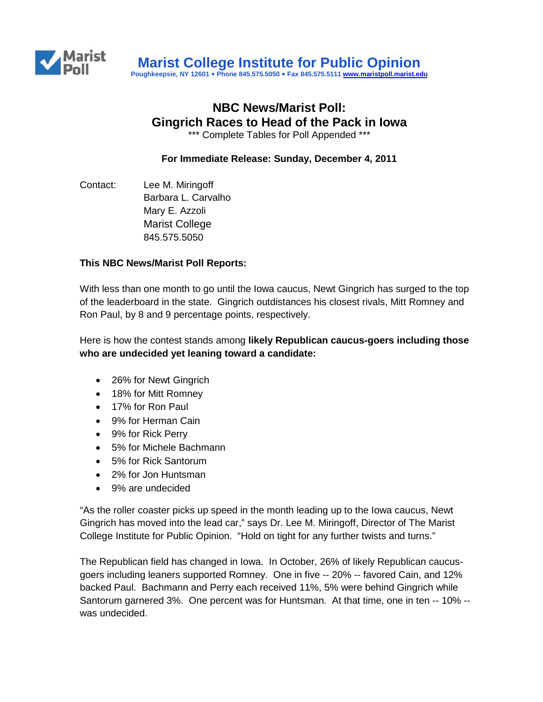

# **NBC News/Marist Poll: Gingrich Races to Head of the Pack in Iowa**

\*\*\* Complete Tables for Poll Appended \*\*\*

**For Immediate Release: Sunday, December 4, 2011**

Contact: Lee M. Miringoff Barbara L. Carvalho Mary E. Azzoli Marist College 845.575.5050

#### **This NBC News/Marist Poll Reports:**

With less than one month to go until the Iowa caucus, Newt Gingrich has surged to the top of the leaderboard in the state. Gingrich outdistances his closest rivals, Mitt Romney and Ron Paul, by 8 and 9 percentage points, respectively.

Here is how the contest stands among **likely Republican caucus-goers including those who are undecided yet leaning toward a candidate:**

- 26% for Newt Gingrich
- 18% for Mitt Romney
- 17% for Ron Paul
- 9% for Herman Cain
- 9% for Rick Perry
- 5% for Michele Bachmann
- 5% for Rick Santorum
- 2% for Jon Huntsman
- 9% are undecided

"As the roller coaster picks up speed in the month leading up to the Iowa caucus, Newt Gingrich has moved into the lead car," says Dr. Lee M. Miringoff, Director of The Marist College Institute for Public Opinion. "Hold on tight for any further twists and turns."

The Republican field has changed in Iowa. In October, 26% of likely Republican caucusgoers including leaners supported Romney. One in five -- 20% -- favored Cain, and 12% backed Paul. Bachmann and Perry each received 11%, 5% were behind Gingrich while Santorum garnered 3%. One percent was for Huntsman. At that time, one in ten -- 10% - was undecided.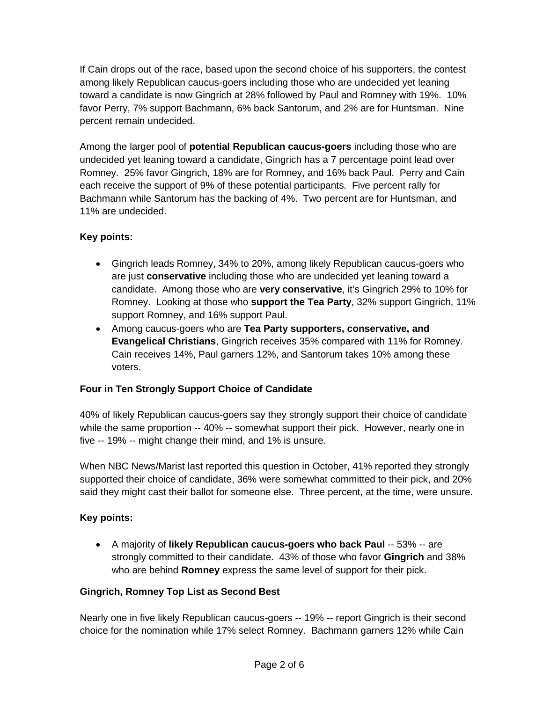If Cain drops out of the race, based upon the second choice of his supporters, the contest among likely Republican caucus-goers including those who are undecided yet leaning toward a candidate is now Gingrich at 28% followed by Paul and Romney with 19%. 10% favor Perry, 7% support Bachmann, 6% back Santorum, and 2% are for Huntsman. Nine percent remain undecided.

Among the larger pool of **potential Republican caucus-goers** including those who are undecided yet leaning toward a candidate, Gingrich has a 7 percentage point lead over Romney. 25% favor Gingrich, 18% are for Romney, and 16% back Paul. Perry and Cain each receive the support of 9% of these potential participants. Five percent rally for Bachmann while Santorum has the backing of 4%. Two percent are for Huntsman, and 11% are undecided.

# **Key points:**

- Gingrich leads Romney, 34% to 20%, among likely Republican caucus-goers who are just **conservative** including those who are undecided yet leaning toward a candidate. Among those who are **very conservative**, it's Gingrich 29% to 10% for Romney. Looking at those who **support the Tea Party**, 32% support Gingrich, 11% support Romney, and 16% support Paul.
- Among caucus-goers who are **Tea Party supporters, conservative, and Evangelical Christians**, Gingrich receives 35% compared with 11% for Romney. Cain receives 14%, Paul garners 12%, and Santorum takes 10% among these voters.

## **Four in Ten Strongly Support Choice of Candidate**

40% of likely Republican caucus-goers say they strongly support their choice of candidate while the same proportion -- 40% -- somewhat support their pick. However, nearly one in five -- 19% -- might change their mind, and 1% is unsure.

When NBC News/Marist last reported this question in October, 41% reported they strongly supported their choice of candidate, 36% were somewhat committed to their pick, and 20% said they might cast their ballot for someone else. Three percent, at the time, were unsure.

## **Key points:**

• A majority of **likely Republican caucus-goers who back Paul** -- 53% -- are strongly committed to their candidate. 43% of those who favor **Gingrich** and 38% who are behind **Romney** express the same level of support for their pick.

## **Gingrich, Romney Top List as Second Best**

Nearly one in five likely Republican caucus-goers -- 19% -- report Gingrich is their second choice for the nomination while 17% select Romney. Bachmann garners 12% while Cain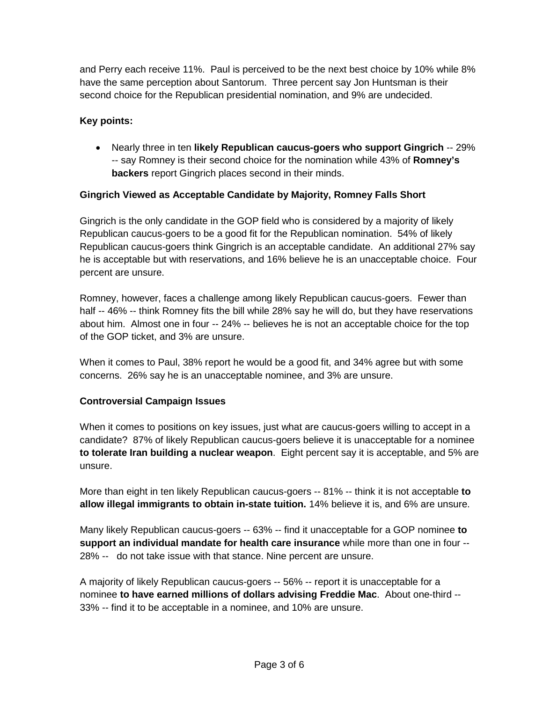and Perry each receive 11%. Paul is perceived to be the next best choice by 10% while 8% have the same perception about Santorum. Three percent say Jon Huntsman is their second choice for the Republican presidential nomination, and 9% are undecided.

# **Key points:**

• Nearly three in ten **likely Republican caucus-goers who support Gingrich** -- 29% -- say Romney is their second choice for the nomination while 43% of **Romney's backers** report Gingrich places second in their minds.

## **Gingrich Viewed as Acceptable Candidate by Majority, Romney Falls Short**

Gingrich is the only candidate in the GOP field who is considered by a majority of likely Republican caucus-goers to be a good fit for the Republican nomination. 54% of likely Republican caucus-goers think Gingrich is an acceptable candidate. An additional 27% say he is acceptable but with reservations, and 16% believe he is an unacceptable choice. Four percent are unsure.

Romney, however, faces a challenge among likely Republican caucus-goers. Fewer than half -- 46% -- think Romney fits the bill while 28% say he will do, but they have reservations about him. Almost one in four -- 24% -- believes he is not an acceptable choice for the top of the GOP ticket, and 3% are unsure.

When it comes to Paul, 38% report he would be a good fit, and 34% agree but with some concerns. 26% say he is an unacceptable nominee, and 3% are unsure.

## **Controversial Campaign Issues**

When it comes to positions on key issues, just what are caucus-goers willing to accept in a candidate? 87% of likely Republican caucus-goers believe it is unacceptable for a nominee **to tolerate Iran building a nuclear weapon**. Eight percent say it is acceptable, and 5% are unsure.

More than eight in ten likely Republican caucus-goers -- 81% -- think it is not acceptable **to allow illegal immigrants to obtain in-state tuition.** 14% believe it is, and 6% are unsure.

Many likely Republican caucus-goers -- 63% -- find it unacceptable for a GOP nominee **to support an individual mandate for health care insurance** while more than one in four -- 28% -- do not take issue with that stance. Nine percent are unsure.

A majority of likely Republican caucus-goers -- 56% -- report it is unacceptable for a nominee **to have earned millions of dollars advising Freddie Mac**. About one-third -- 33% -- find it to be acceptable in a nominee, and 10% are unsure.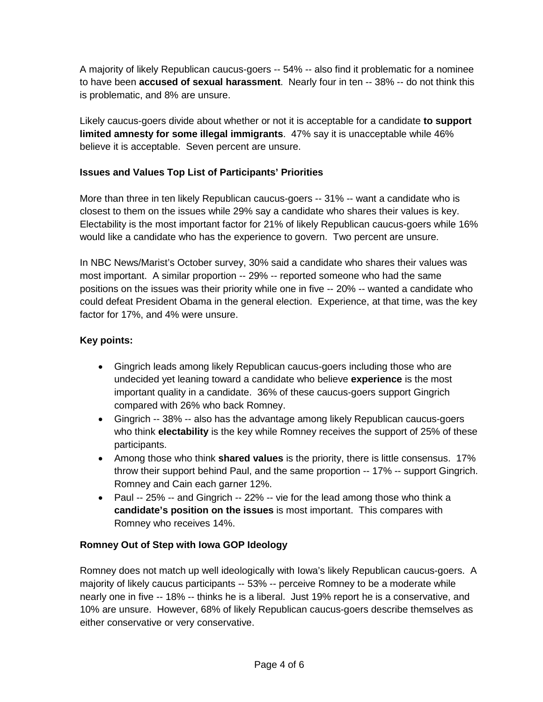A majority of likely Republican caucus-goers -- 54% -- also find it problematic for a nominee to have been **accused of sexual harassment**. Nearly four in ten -- 38% -- do not think this is problematic, and 8% are unsure.

Likely caucus-goers divide about whether or not it is acceptable for a candidate **to support limited amnesty for some illegal immigrants**. 47% say it is unacceptable while 46% believe it is acceptable. Seven percent are unsure.

## **Issues and Values Top List of Participants' Priorities**

More than three in ten likely Republican caucus-goers -- 31% -- want a candidate who is closest to them on the issues while 29% say a candidate who shares their values is key. Electability is the most important factor for 21% of likely Republican caucus-goers while 16% would like a candidate who has the experience to govern. Two percent are unsure.

In NBC News/Marist's October survey, 30% said a candidate who shares their values was most important. A similar proportion -- 29% -- reported someone who had the same positions on the issues was their priority while one in five -- 20% -- wanted a candidate who could defeat President Obama in the general election. Experience, at that time, was the key factor for 17%, and 4% were unsure.

## **Key points:**

- Gingrich leads among likely Republican caucus-goers including those who are undecided yet leaning toward a candidate who believe **experience** is the most important quality in a candidate. 36% of these caucus-goers support Gingrich compared with 26% who back Romney.
- Gingrich -- 38% -- also has the advantage among likely Republican caucus-goers who think **electability** is the key while Romney receives the support of 25% of these participants.
- Among those who think **shared values** is the priority, there is little consensus. 17% throw their support behind Paul, and the same proportion -- 17% -- support Gingrich. Romney and Cain each garner 12%.
- Paul -- 25% -- and Gingrich -- 22% -- vie for the lead among those who think a **candidate's position on the issues** is most important. This compares with Romney who receives 14%.

## **Romney Out of Step with Iowa GOP Ideology**

Romney does not match up well ideologically with Iowa's likely Republican caucus-goers. A majority of likely caucus participants -- 53% -- perceive Romney to be a moderate while nearly one in five -- 18% -- thinks he is a liberal. Just 19% report he is a conservative, and 10% are unsure. However, 68% of likely Republican caucus-goers describe themselves as either conservative or very conservative.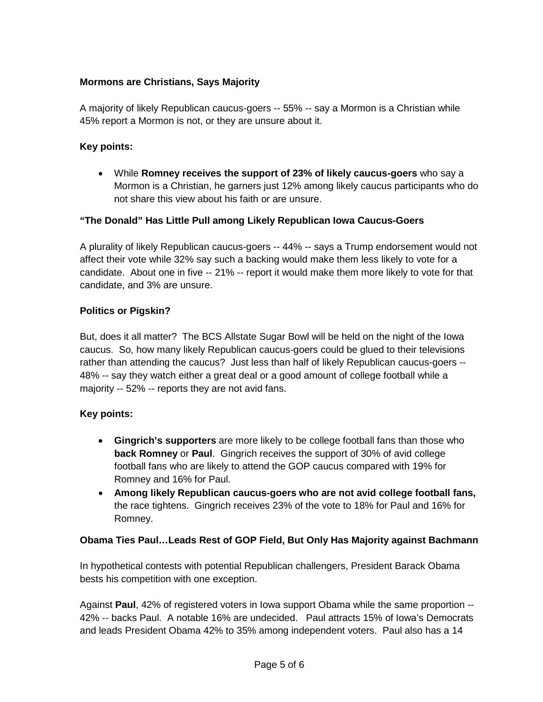# **Mormons are Christians, Says Majority**

A majority of likely Republican caucus-goers -- 55% -- say a Mormon is a Christian while 45% report a Mormon is not, or they are unsure about it.

#### **Key points:**

• While **Romney receives the support of 23% of likely caucus-goers** who say a Mormon is a Christian, he garners just 12% among likely caucus participants who do not share this view about his faith or are unsure.

#### **"The Donald" Has Little Pull among Likely Republican Iowa Caucus-Goers**

A plurality of likely Republican caucus-goers -- 44% -- says a Trump endorsement would not affect their vote while 32% say such a backing would make them less likely to vote for a candidate. About one in five -- 21% -- report it would make them more likely to vote for that candidate, and 3% are unsure.

#### **Politics or Pigskin?**

But, does it all matter? The BCS Allstate Sugar Bowl will be held on the night of the Iowa caucus. So, how many likely Republican caucus-goers could be glued to their televisions rather than attending the caucus? Just less than half of likely Republican caucus-goers -- 48% -- say they watch either a great deal or a good amount of college football while a majority -- 52% -- reports they are not avid fans.

#### **Key points:**

- **Gingrich's supporters** are more likely to be college football fans than those who **back Romney** or **Paul**. Gingrich receives the support of 30% of avid college football fans who are likely to attend the GOP caucus compared with 19% for Romney and 16% for Paul.
- **Among likely Republican caucus-goers who are not avid college football fans,** the race tightens. Gingrich receives 23% of the vote to 18% for Paul and 16% for Romney.

## **Obama Ties Paul…Leads Rest of GOP Field, But Only Has Majority against Bachmann**

In hypothetical contests with potential Republican challengers, President Barack Obama bests his competition with one exception.

Against **Paul**, 42% of registered voters in Iowa support Obama while the same proportion -- 42% -- backs Paul. A notable 16% are undecided. Paul attracts 15% of Iowa's Democrats and leads President Obama 42% to 35% among independent voters. Paul also has a 14